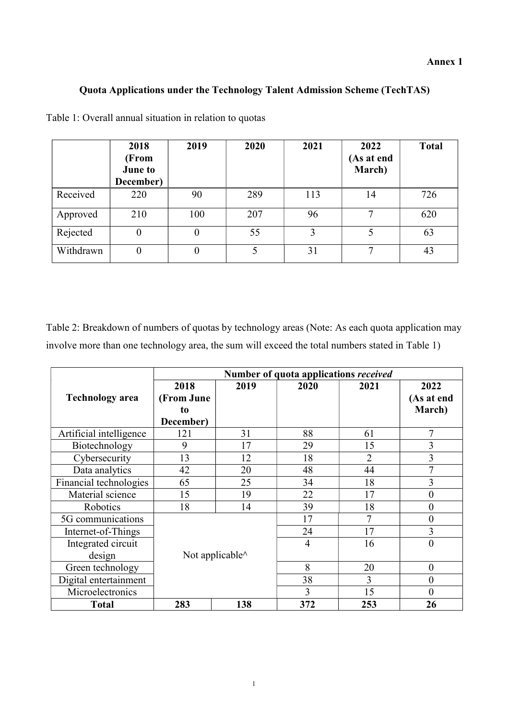## Quota Applications under the Technology Talent Admission Scheme (TechTAS)

|           | 2018<br>(From<br><b>June to</b><br>December) | 2019     | 2020 | 2021 | 2022<br>(As at end<br>March) | <b>Total</b> |
|-----------|----------------------------------------------|----------|------|------|------------------------------|--------------|
| Received  | 220                                          | 90       | 289  | 113  | 14                           | 726          |
| Approved  | 210                                          | 100      | 207  | 96   | ⇁                            | 620          |
| Rejected  | $\boldsymbol{0}$                             | $\theta$ | 55   | 3    | 5                            | 63           |
| Withdrawn | $\theta$                                     | $\theta$ | 5    | 31   | $\mathbf{r}$                 | 43           |

Table 1: Overall annual situation in relation to quotas

Table 2: Breakdown of numbers of quotas by technology areas (Note: As each quota application may involve more than one technology area, the sum will exceed the total numbers stated in Table 1)

|                         | Number of quota applications received |      |      |                |                |  |  |  |
|-------------------------|---------------------------------------|------|------|----------------|----------------|--|--|--|
|                         | 2018                                  | 2019 | 2020 | 2021           | 2022           |  |  |  |
| <b>Technology</b> area  | (From June                            |      |      |                | (As at end     |  |  |  |
|                         | to                                    |      |      |                | March)         |  |  |  |
|                         | December)                             |      |      |                |                |  |  |  |
| Artificial intelligence | 121                                   | 31   | 88   | 61             | $\tau$         |  |  |  |
| Biotechnology           | 9                                     | 17   | 29   | 15             | 3              |  |  |  |
| Cybersecurity           | 13                                    | 12   | 18   | $\overline{2}$ | 3              |  |  |  |
| Data analytics          | 42                                    | 20   | 48   | 44             |                |  |  |  |
| Financial technologies  | 65                                    | 25   | 34   | 18             | 3              |  |  |  |
| Material science        | 15                                    | 19   | 22   | 17             | $\overline{0}$ |  |  |  |
| Robotics                | 18                                    | 14   | 39   | 18             | $\overline{0}$ |  |  |  |
| 5G communications       |                                       |      | 17   | 7              | 0              |  |  |  |
| Internet-of-Things      |                                       |      | 24   | 17             | 3              |  |  |  |
| Integrated circuit      | 16<br>4                               |      |      |                | 0              |  |  |  |
| design                  | Not applicable^                       |      |      |                |                |  |  |  |
| Green technology        | 8<br>20                               |      |      |                | $\overline{0}$ |  |  |  |
| Digital entertainment   |                                       |      | 38   | 3              | 0              |  |  |  |
| Microelectronics        |                                       |      | 3    | 15             | 0              |  |  |  |
| <b>Total</b>            | 283                                   | 138  | 372  | 253            | 26             |  |  |  |